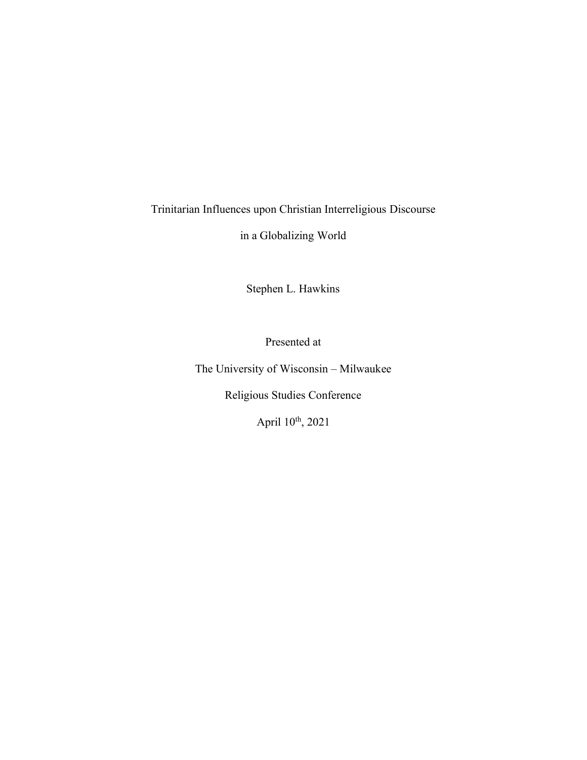Trinitarian Influences upon Christian Interreligious Discourse

in a Globalizing World

Stephen L. Hawkins

Presented at

The University of Wisconsin – Milwaukee

Religious Studies Conference

April 10<sup>th</sup>, 2021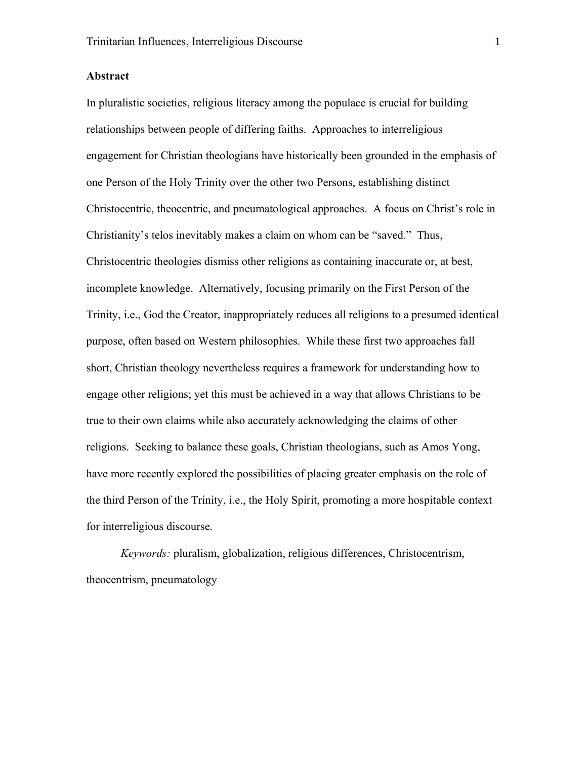## **Abstract**

In pluralistic societies, religious literacy among the populace is crucial for building relationships between people of differing faiths. Approaches to interreligious engagement for Christian theologians have historically been grounded in the emphasis of one Person of the Holy Trinity over the other two Persons, establishing distinct Christocentric, theocentric, and pneumatological approaches. A focus on Christ's role in Christianity's telos inevitably makes a claim on whom can be "saved." Thus, Christocentric theologies dismiss other religions as containing inaccurate or, at best, incomplete knowledge. Alternatively, focusing primarily on the First Person of the Trinity, i.e., God the Creator, inappropriately reduces all religions to a presumed identical purpose, often based on Western philosophies. While these first two approaches fall short, Christian theology nevertheless requires a framework for understanding how to engage other religions; yet this must be achieved in a way that allows Christians to be true to their own claims while also accurately acknowledging the claims of other religions. Seeking to balance these goals, Christian theologians, such as Amos Yong, have more recently explored the possibilities of placing greater emphasis on the role of the third Person of the Trinity, i.e., the Holy Spirit, promoting a more hospitable context for interreligious discourse.

*Keywords:* pluralism, globalization, religious differences, Christocentrism, theocentrism, pneumatology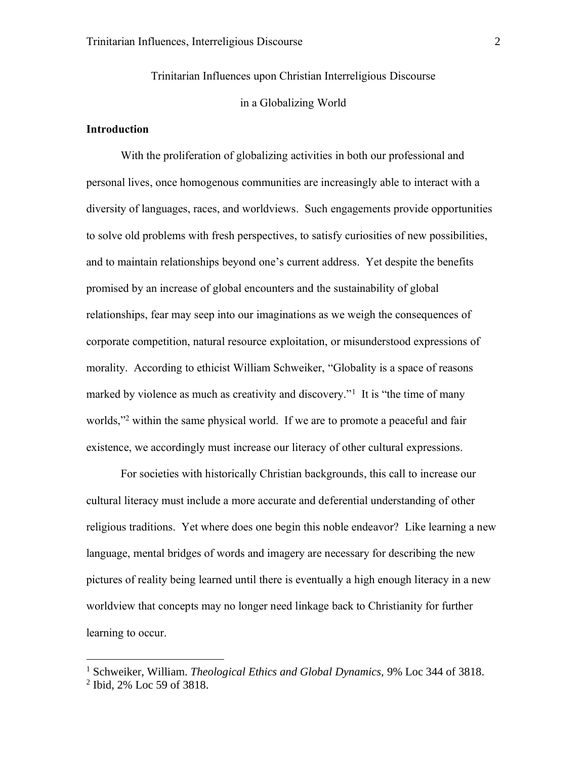Trinitarian Influences upon Christian Interreligious Discourse in a Globalizing World

# **Introduction**

With the proliferation of globalizing activities in both our professional and personal lives, once homogenous communities are increasingly able to interact with a diversity of languages, races, and worldviews. Such engagements provide opportunities to solve old problems with fresh perspectives, to satisfy curiosities of new possibilities, and to maintain relationships beyond one's current address. Yet despite the benefits promised by an increase of global encounters and the sustainability of global relationships, fear may seep into our imaginations as we weigh the consequences of corporate competition, natural resource exploitation, or misunderstood expressions of morality. According to ethicist William Schweiker, "Globality is a space of reasons marked by violence as much as creativity and discovery."<sup>1</sup> It is "the time of many worlds,"<sup>2</sup> within the same physical world. If we are to promote a peaceful and fair existence, we accordingly must increase our literacy of other cultural expressions.

For societies with historically Christian backgrounds, this call to increase our cultural literacy must include a more accurate and deferential understanding of other religious traditions. Yet where does one begin this noble endeavor? Like learning a new language, mental bridges of words and imagery are necessary for describing the new pictures of reality being learned until there is eventually a high enough literacy in a new worldview that concepts may no longer need linkage back to Christianity for further learning to occur.

<sup>1</sup> Schweiker, William. *Theological Ethics and Global Dynamics,* 9% Loc 344 of 3818.

<sup>2</sup> Ibid, 2% Loc 59 of 3818.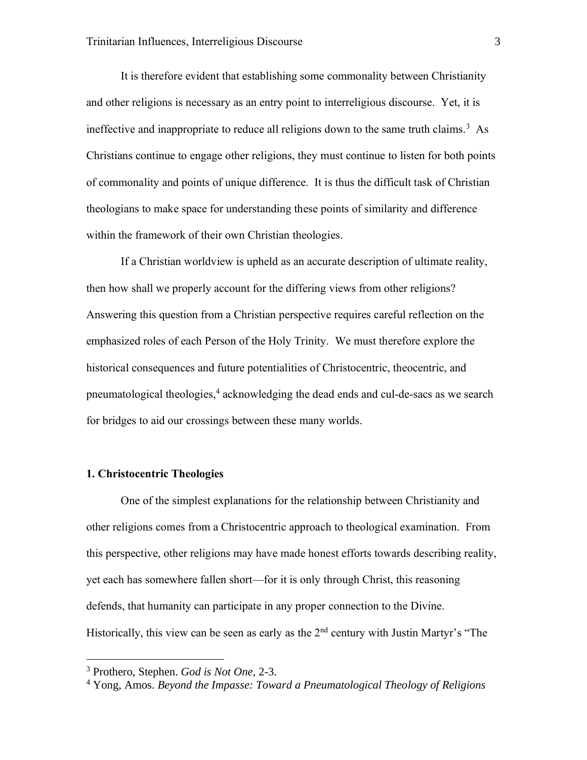It is therefore evident that establishing some commonality between Christianity and other religions is necessary as an entry point to interreligious discourse. Yet, it is ineffective and inappropriate to reduce all religions down to the same truth claims.<sup>3</sup> As Christians continue to engage other religions, they must continue to listen for both points of commonality and points of unique difference. It is thus the difficult task of Christian theologians to make space for understanding these points of similarity and difference within the framework of their own Christian theologies.

If a Christian worldview is upheld as an accurate description of ultimate reality, then how shall we properly account for the differing views from other religions? Answering this question from a Christian perspective requires careful reflection on the emphasized roles of each Person of the Holy Trinity. We must therefore explore the historical consequences and future potentialities of Christocentric, theocentric, and pneumatological theologies, 4 acknowledging the dead ends and cul-de-sacs as we search for bridges to aid our crossings between these many worlds.

# **1. Christocentric Theologies**

One of the simplest explanations for the relationship between Christianity and other religions comes from a Christocentric approach to theological examination. From this perspective, other religions may have made honest efforts towards describing reality, yet each has somewhere fallen short—for it is only through Christ, this reasoning defends, that humanity can participate in any proper connection to the Divine. Historically, this view can be seen as early as the  $2<sup>nd</sup>$  century with Justin Martyr's "The

<sup>3</sup> Prothero, Stephen. *God is Not One,* 2-3.

<sup>4</sup> Yong, Amos. *Beyond the Impasse: Toward a Pneumatological Theology of Religions*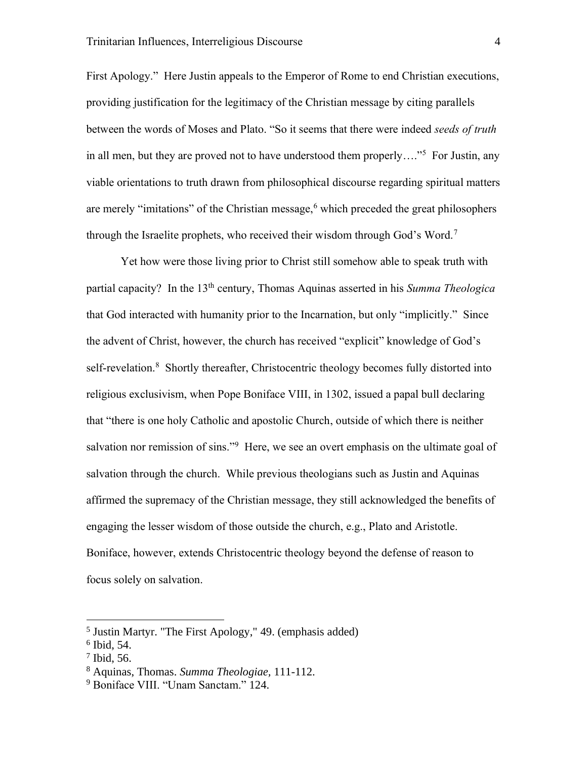First Apology." Here Justin appeals to the Emperor of Rome to end Christian executions, providing justification for the legitimacy of the Christian message by citing parallels between the words of Moses and Plato. "So it seems that there were indeed *seeds of truth* in all men, but they are proved not to have understood them properly...."<sup>5</sup> For Justin, any viable orientations to truth drawn from philosophical discourse regarding spiritual matters are merely "imitations" of the Christian message, $6$  which preceded the great philosophers through the Israelite prophets, who received their wisdom through God's Word.<sup>7</sup>

Yet how were those living prior to Christ still somehow able to speak truth with partial capacity? In the 13th century, Thomas Aquinas asserted in his *Summa Theologica* that God interacted with humanity prior to the Incarnation, but only "implicitly." Since the advent of Christ, however, the church has received "explicit" knowledge of God's self-revelation.<sup>8</sup> Shortly thereafter, Christocentric theology becomes fully distorted into religious exclusivism, when Pope Boniface VIII, in 1302, issued a papal bull declaring that "there is one holy Catholic and apostolic Church, outside of which there is neither salvation nor remission of sins."<sup>9</sup> Here, we see an overt emphasis on the ultimate goal of salvation through the church. While previous theologians such as Justin and Aquinas affirmed the supremacy of the Christian message, they still acknowledged the benefits of engaging the lesser wisdom of those outside the church, e.g., Plato and Aristotle. Boniface, however, extends Christocentric theology beyond the defense of reason to focus solely on salvation.

<sup>&</sup>lt;sup>5</sup> Justin Martyr. "The First Apology," 49. (emphasis added)

<sup>6</sup> Ibid, 54.

<sup>7</sup> Ibid, 56.

<sup>8</sup> Aquinas, Thomas. *Summa Theologiae,* 111-112.

<sup>9</sup> Boniface VIII. "Unam Sanctam." 124.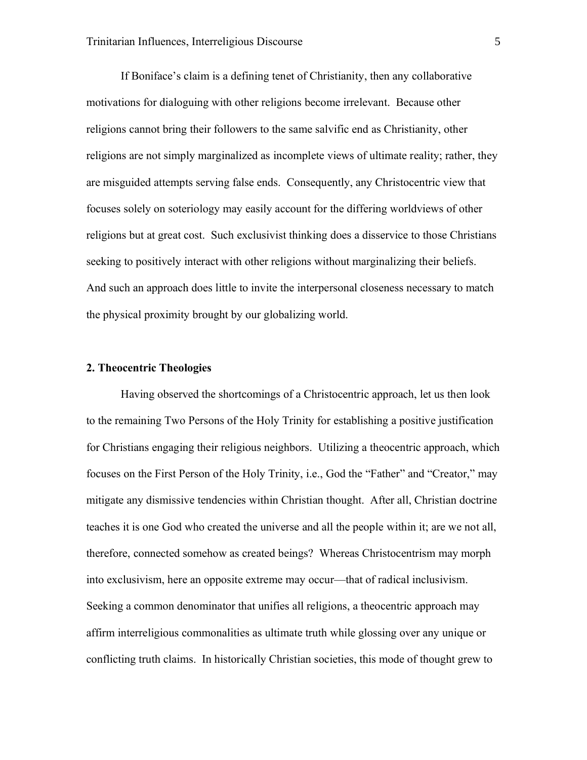If Boniface's claim is a defining tenet of Christianity, then any collaborative motivations for dialoguing with other religions become irrelevant. Because other religions cannot bring their followers to the same salvific end as Christianity, other religions are not simply marginalized as incomplete views of ultimate reality; rather, they are misguided attempts serving false ends. Consequently, any Christocentric view that focuses solely on soteriology may easily account for the differing worldviews of other religions but at great cost. Such exclusivist thinking does a disservice to those Christians seeking to positively interact with other religions without marginalizing their beliefs. And such an approach does little to invite the interpersonal closeness necessary to match the physical proximity brought by our globalizing world.

#### **2. Theocentric Theologies**

Having observed the shortcomings of a Christocentric approach, let us then look to the remaining Two Persons of the Holy Trinity for establishing a positive justification for Christians engaging their religious neighbors. Utilizing a theocentric approach, which focuses on the First Person of the Holy Trinity, i.e., God the "Father" and "Creator," may mitigate any dismissive tendencies within Christian thought. After all, Christian doctrine teaches it is one God who created the universe and all the people within it; are we not all, therefore, connected somehow as created beings? Whereas Christocentrism may morph into exclusivism, here an opposite extreme may occur—that of radical inclusivism. Seeking a common denominator that unifies all religions, a theocentric approach may affirm interreligious commonalities as ultimate truth while glossing over any unique or conflicting truth claims. In historically Christian societies, this mode of thought grew to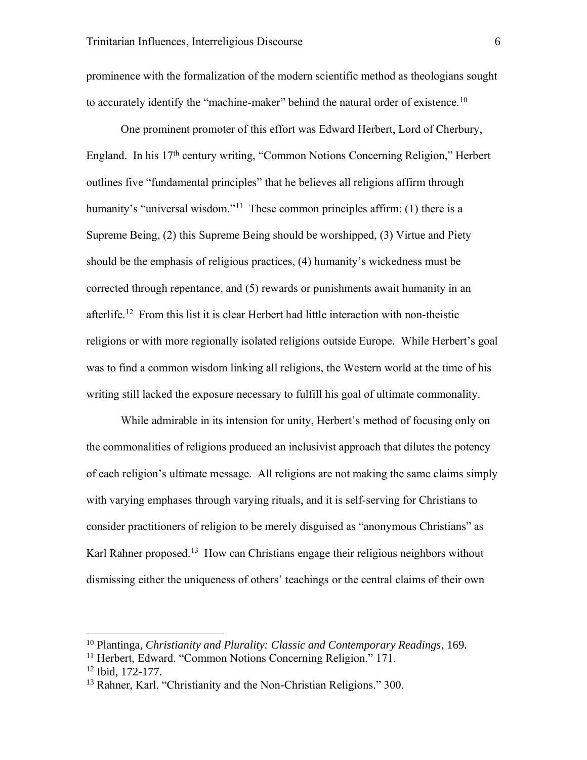prominence with the formalization of the modern scientific method as theologians sought to accurately identify the "machine-maker" behind the natural order of existence.<sup>10</sup>

One prominent promoter of this effort was Edward Herbert, Lord of Cherbury, England. In his 17th century writing, "Common Notions Concerning Religion," Herbert outlines five "fundamental principles" that he believes all religions affirm through humanity's "universal wisdom."<sup>11</sup> These common principles affirm: (1) there is a Supreme Being, (2) this Supreme Being should be worshipped, (3) Virtue and Piety should be the emphasis of religious practices, (4) humanity's wickedness must be corrected through repentance, and (5) rewards or punishments await humanity in an afterlife.<sup>12</sup> From this list it is clear Herbert had little interaction with non-theistic religions or with more regionally isolated religions outside Europe. While Herbert's goal was to find a common wisdom linking all religions, the Western world at the time of his writing still lacked the exposure necessary to fulfill his goal of ultimate commonality.

While admirable in its intension for unity, Herbert's method of focusing only on the commonalities of religions produced an inclusivist approach that dilutes the potency of each religion's ultimate message. All religions are not making the same claims simply with varying emphases through varying rituals, and it is self-serving for Christians to consider practitioners of religion to be merely disguised as "anonymous Christians" as Karl Rahner proposed.<sup>13</sup> How can Christians engage their religious neighbors without dismissing either the uniqueness of others' teachings or the central claims of their own

<sup>10</sup> Plantinga, *Christianity and Plurality: Classic and Contemporary Readings*, 169.

<sup>11</sup> Herbert, Edward. "Common Notions Concerning Religion." 171.

<sup>12</sup> Ibid, 172-177.

<sup>13</sup> Rahner, Karl. "Christianity and the Non-Christian Religions." 300.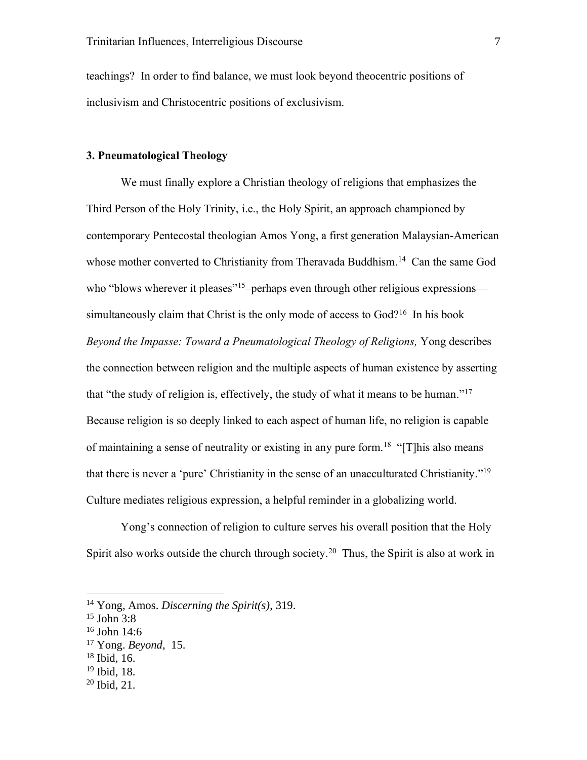teachings? In order to find balance, we must look beyond theocentric positions of inclusivism and Christocentric positions of exclusivism.

# **3. Pneumatological Theology**

We must finally explore a Christian theology of religions that emphasizes the Third Person of the Holy Trinity, i.e., the Holy Spirit, an approach championed by contemporary Pentecostal theologian Amos Yong, a first generation Malaysian-American whose mother converted to Christianity from Theravada Buddhism.<sup>14</sup> Can the same God who "blows wherever it pleases"<sup>15</sup>-perhaps even through other religious expressions simultaneously claim that Christ is the only mode of access to God?<sup>16</sup> In his book *Beyond the Impasse: Toward a Pneumatological Theology of Religions,* Yong describes the connection between religion and the multiple aspects of human existence by asserting that "the study of religion is, effectively, the study of what it means to be human."<sup>17</sup> Because religion is so deeply linked to each aspect of human life, no religion is capable of maintaining a sense of neutrality or existing in any pure form.<sup>18</sup> "[T]his also means that there is never a 'pure' Christianity in the sense of an unacculturated Christianity."<sup>19</sup> Culture mediates religious expression, a helpful reminder in a globalizing world.

Yong's connection of religion to culture serves his overall position that the Holy Spirit also works outside the church through society.<sup>20</sup> Thus, the Spirit is also at work in

<sup>19</sup> Ibid, 18.

<sup>14</sup> Yong, Amos. *Discerning the Spirit(s)*, 319.

 $15$  John 3:8

 $16$  John 14:6

<sup>17</sup> Yong. *Beyond*, 15.

<sup>18</sup> Ibid, 16.

 $20$  Ibid, 21.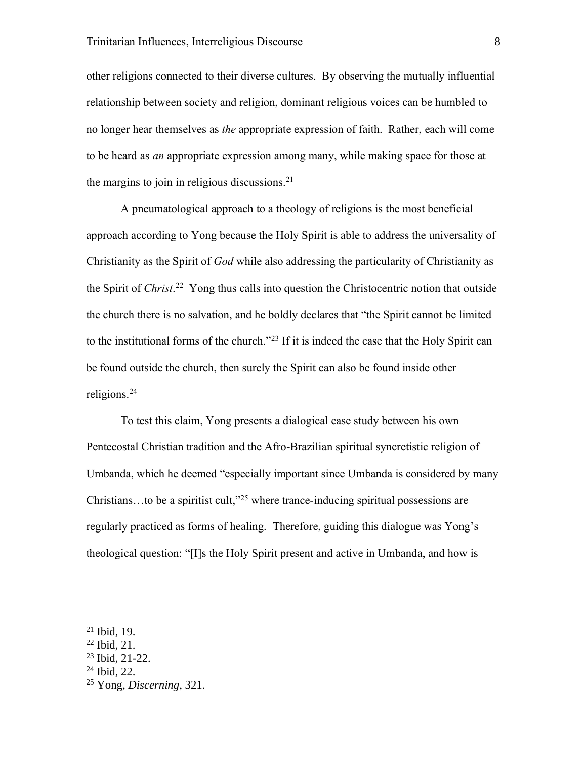other religions connected to their diverse cultures. By observing the mutually influential relationship between society and religion, dominant religious voices can be humbled to no longer hear themselves as *the* appropriate expression of faith. Rather, each will come to be heard as *an* appropriate expression among many, while making space for those at the margins to join in religious discussions. $21$ 

A pneumatological approach to a theology of religions is the most beneficial approach according to Yong because the Holy Spirit is able to address the universality of Christianity as the Spirit of *God* while also addressing the particularity of Christianity as the Spirit of *Christ*. <sup>22</sup> Yong thus calls into question the Christocentric notion that outside the church there is no salvation, and he boldly declares that "the Spirit cannot be limited to the institutional forms of the church."<sup>23</sup> If it is indeed the case that the Holy Spirit can be found outside the church, then surely the Spirit can also be found inside other religions.<sup>24</sup>

To test this claim, Yong presents a dialogical case study between his own Pentecostal Christian tradition and the Afro-Brazilian spiritual syncretistic religion of Umbanda, which he deemed "especially important since Umbanda is considered by many Christians…to be a spiritist cult," <sup>25</sup> where trance-inducing spiritual possessions are regularly practiced as forms of healing. Therefore, guiding this dialogue was Yong's theological question: "[I]s the Holy Spirit present and active in Umbanda, and how is

<sup>24</sup> Ibid, 22.

 $21$  Ibid, 19.

<sup>22</sup> Ibid, 21.

<sup>23</sup> Ibid, 21-22.

<sup>25</sup> Yong, *Discerning*, 321.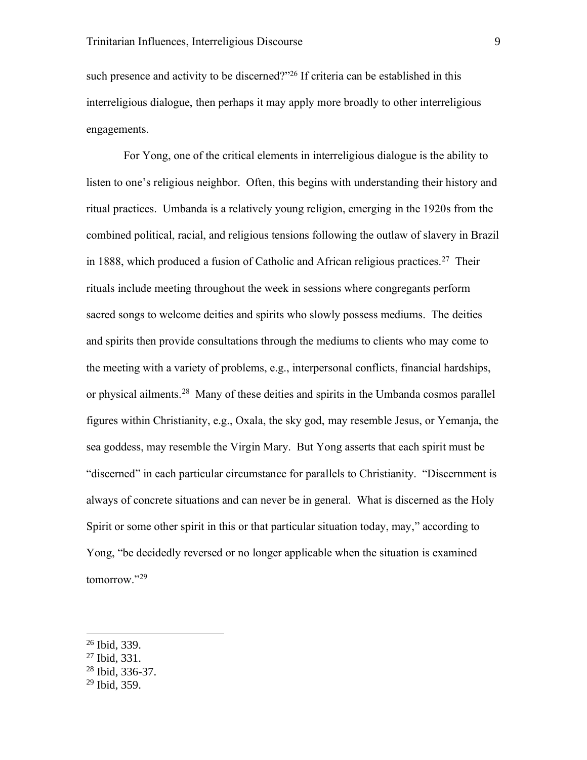such presence and activity to be discerned?"<sup>26</sup> If criteria can be established in this interreligious dialogue, then perhaps it may apply more broadly to other interreligious engagements.

For Yong, one of the critical elements in interreligious dialogue is the ability to listen to one's religious neighbor. Often, this begins with understanding their history and ritual practices. Umbanda is a relatively young religion, emerging in the 1920s from the combined political, racial, and religious tensions following the outlaw of slavery in Brazil in 1888, which produced a fusion of Catholic and African religious practices.<sup>27</sup> Their rituals include meeting throughout the week in sessions where congregants perform sacred songs to welcome deities and spirits who slowly possess mediums. The deities and spirits then provide consultations through the mediums to clients who may come to the meeting with a variety of problems, e.g., interpersonal conflicts, financial hardships, or physical ailments.<sup>28</sup> Many of these deities and spirits in the Umbanda cosmos parallel figures within Christianity, e.g., Oxala, the sky god, may resemble Jesus, or Yemanja, the sea goddess, may resemble the Virgin Mary. But Yong asserts that each spirit must be "discerned" in each particular circumstance for parallels to Christianity. "Discernment is always of concrete situations and can never be in general. What is discerned as the Holy Spirit or some other spirit in this or that particular situation today, may," according to Yong, "be decidedly reversed or no longer applicable when the situation is examined tomorrow."<sup>29</sup>

<sup>28</sup> Ibid, 336-37.

<sup>26</sup> Ibid, 339.

<sup>27</sup> Ibid, 331.

 $29$  Ibid, 359.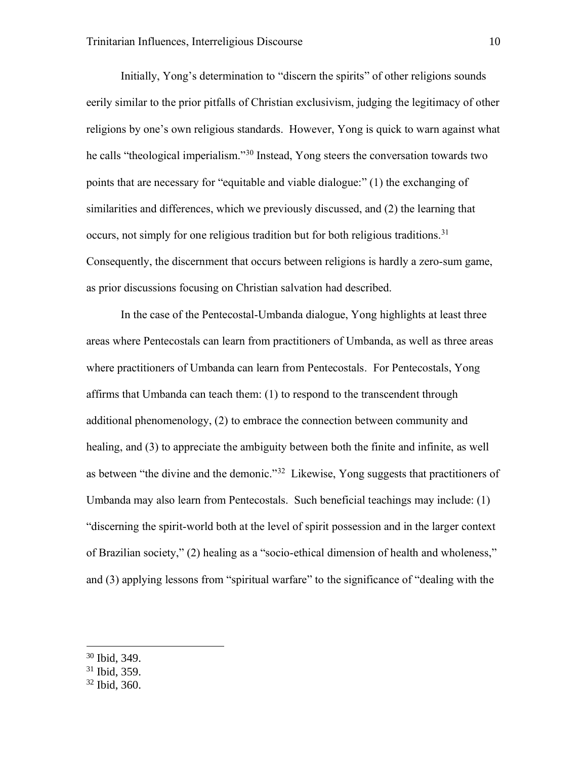Initially, Yong's determination to "discern the spirits" of other religions sounds eerily similar to the prior pitfalls of Christian exclusivism, judging the legitimacy of other religions by one's own religious standards. However, Yong is quick to warn against what he calls "theological imperialism."<sup>30</sup> Instead, Yong steers the conversation towards two points that are necessary for "equitable and viable dialogue:" (1) the exchanging of similarities and differences, which we previously discussed, and (2) the learning that occurs, not simply for one religious tradition but for both religious traditions.<sup>31</sup> Consequently, the discernment that occurs between religions is hardly a zero-sum game, as prior discussions focusing on Christian salvation had described.

In the case of the Pentecostal-Umbanda dialogue, Yong highlights at least three areas where Pentecostals can learn from practitioners of Umbanda, as well as three areas where practitioners of Umbanda can learn from Pentecostals. For Pentecostals, Yong affirms that Umbanda can teach them: (1) to respond to the transcendent through additional phenomenology, (2) to embrace the connection between community and healing, and (3) to appreciate the ambiguity between both the finite and infinite, as well as between "the divine and the demonic."<sup>32</sup> Likewise, Yong suggests that practitioners of Umbanda may also learn from Pentecostals. Such beneficial teachings may include: (1) "discerning the spirit-world both at the level of spirit possession and in the larger context of Brazilian society," (2) healing as a "socio-ethical dimension of health and wholeness," and (3) applying lessons from "spiritual warfare" to the significance of "dealing with the

- <sup>31</sup> Ibid, 359.
- <sup>32</sup> Ibid, 360.

<sup>30</sup> Ibid, 349.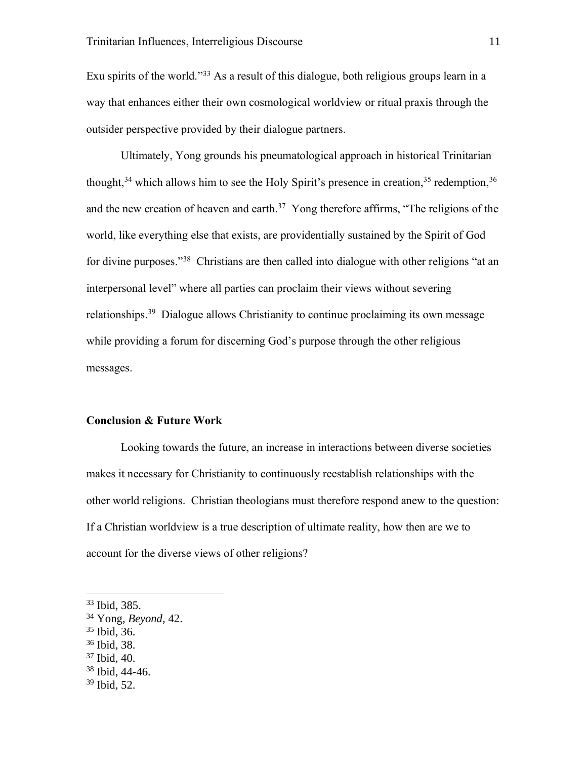Exu spirits of the world."<sup>33</sup> As a result of this dialogue, both religious groups learn in a way that enhances either their own cosmological worldview or ritual praxis through the outsider perspective provided by their dialogue partners.

Ultimately, Yong grounds his pneumatological approach in historical Trinitarian thought,  $34$  which allows him to see the Holy Spirit's presence in creation,  $35$  redemption,  $36$ and the new creation of heaven and earth.<sup>37</sup> Yong therefore affirms, "The religions of the world, like everything else that exists, are providentially sustained by the Spirit of God for divine purposes."<sup>38</sup> Christians are then called into dialogue with other religions "at an interpersonal level" where all parties can proclaim their views without severing relationships.<sup>39</sup> Dialogue allows Christianity to continue proclaiming its own message while providing a forum for discerning God's purpose through the other religious messages.

#### **Conclusion & Future Work**

Looking towards the future, an increase in interactions between diverse societies makes it necessary for Christianity to continuously reestablish relationships with the other world religions. Christian theologians must therefore respond anew to the question: If a Christian worldview is a true description of ultimate reality, how then are we to account for the diverse views of other religions?

- <sup>36</sup> Ibid, 38.
- <sup>37</sup> Ibid, 40.
- <sup>38</sup> Ibid, 44-46.

<sup>33</sup> Ibid, 385.

<sup>34</sup> Yong, *Beyond*, 42.

<sup>35</sup> Ibid, 36.

<sup>39</sup> Ibid, 52.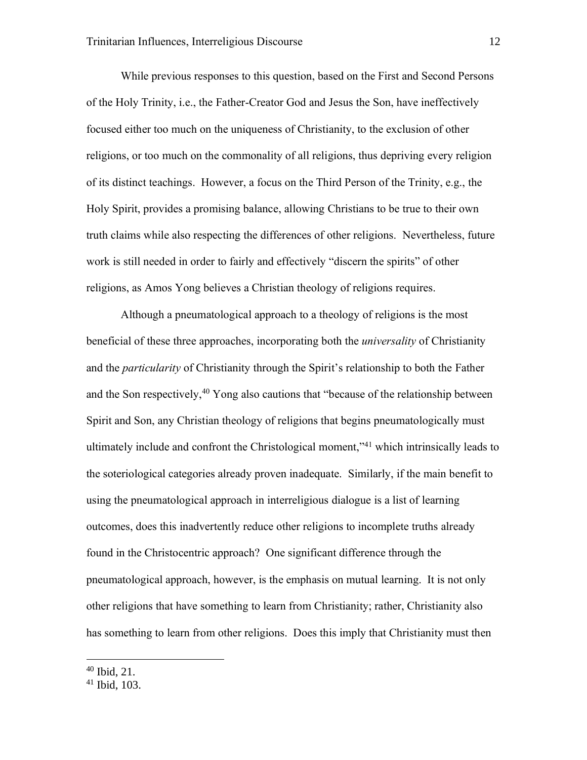While previous responses to this question, based on the First and Second Persons of the Holy Trinity, i.e., the Father-Creator God and Jesus the Son, have ineffectively focused either too much on the uniqueness of Christianity, to the exclusion of other religions, or too much on the commonality of all religions, thus depriving every religion of its distinct teachings. However, a focus on the Third Person of the Trinity, e.g., the Holy Spirit, provides a promising balance, allowing Christians to be true to their own truth claims while also respecting the differences of other religions. Nevertheless, future work is still needed in order to fairly and effectively "discern the spirits" of other religions, as Amos Yong believes a Christian theology of religions requires.

Although a pneumatological approach to a theology of religions is the most beneficial of these three approaches, incorporating both the *universality* of Christianity and the *particularity* of Christianity through the Spirit's relationship to both the Father and the Son respectively,  $40$  Yong also cautions that "because of the relationship between Spirit and Son, any Christian theology of religions that begins pneumatologically must ultimately include and confront the Christological moment," <sup>41</sup> which intrinsically leads to the soteriological categories already proven inadequate. Similarly, if the main benefit to using the pneumatological approach in interreligious dialogue is a list of learning outcomes, does this inadvertently reduce other religions to incomplete truths already found in the Christocentric approach? One significant difference through the pneumatological approach, however, is the emphasis on mutual learning. It is not only other religions that have something to learn from Christianity; rather, Christianity also has something to learn from other religions. Does this imply that Christianity must then

<sup>40</sup> Ibid, 21.

<sup>41</sup> Ibid, 103.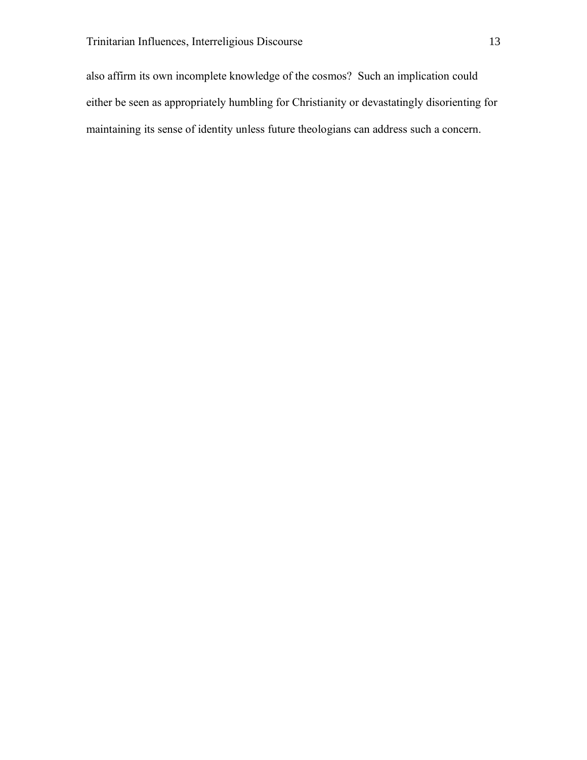also affirm its own incomplete knowledge of the cosmos? Such an implication could either be seen as appropriately humbling for Christianity or devastatingly disorienting for maintaining its sense of identity unless future theologians can address such a concern.